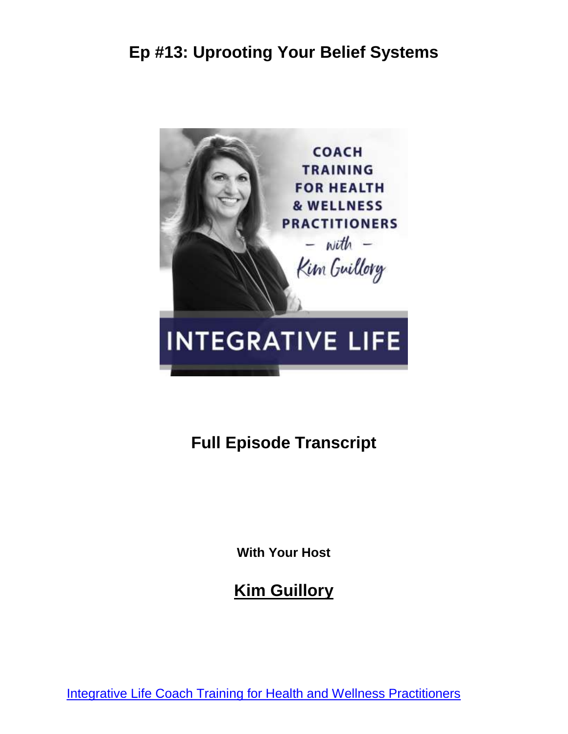

# **Full Episode Transcript**

**With Your Host**

**Kim Guillory**

[Integrative Life Coach Training for Health and Wellness Practitioners](https://kimguillory.com/podcast)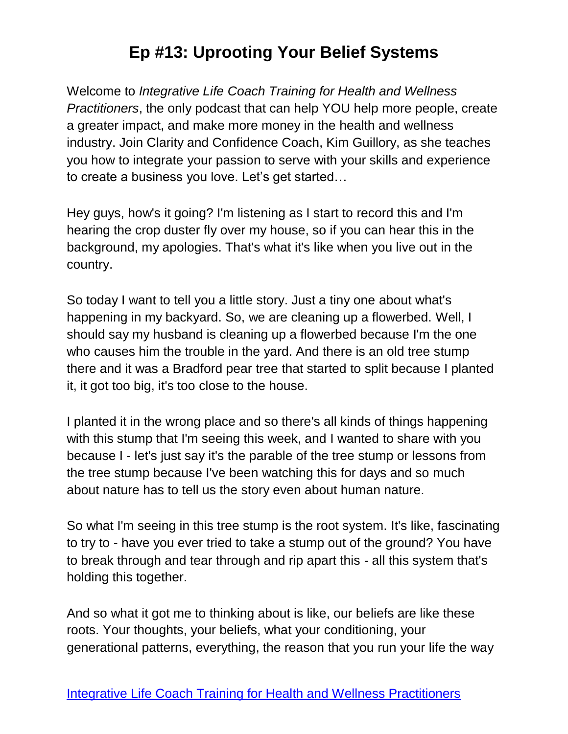Welcome to *Integrative Life Coach Training for Health and Wellness Practitioners*, the only podcast that can help YOU help more people, create a greater impact, and make more money in the health and wellness industry. Join Clarity and Confidence Coach, Kim Guillory, as she teaches you how to integrate your passion to serve with your skills and experience to create a business you love. Let's get started…

Hey guys, how's it going? I'm listening as I start to record this and I'm hearing the crop duster fly over my house, so if you can hear this in the background, my apologies. That's what it's like when you live out in the country.

So today I want to tell you a little story. Just a tiny one about what's happening in my backyard. So, we are cleaning up a flowerbed. Well, I should say my husband is cleaning up a flowerbed because I'm the one who causes him the trouble in the yard. And there is an old tree stump there and it was a Bradford pear tree that started to split because I planted it, it got too big, it's too close to the house.

I planted it in the wrong place and so there's all kinds of things happening with this stump that I'm seeing this week, and I wanted to share with you because I - let's just say it's the parable of the tree stump or lessons from the tree stump because I've been watching this for days and so much about nature has to tell us the story even about human nature.

So what I'm seeing in this tree stump is the root system. It's like, fascinating to try to - have you ever tried to take a stump out of the ground? You have to break through and tear through and rip apart this - all this system that's holding this together.

And so what it got me to thinking about is like, our beliefs are like these roots. Your thoughts, your beliefs, what your conditioning, your generational patterns, everything, the reason that you run your life the way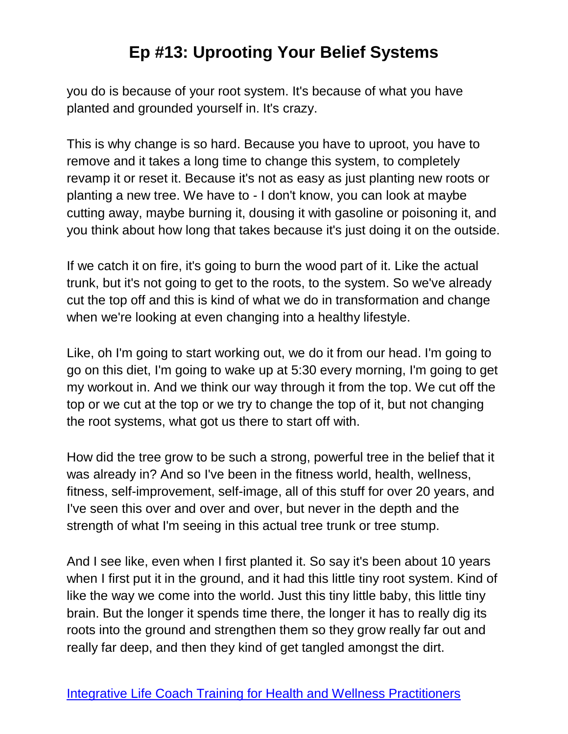you do is because of your root system. It's because of what you have planted and grounded yourself in. It's crazy.

This is why change is so hard. Because you have to uproot, you have to remove and it takes a long time to change this system, to completely revamp it or reset it. Because it's not as easy as just planting new roots or planting a new tree. We have to - I don't know, you can look at maybe cutting away, maybe burning it, dousing it with gasoline or poisoning it, and you think about how long that takes because it's just doing it on the outside.

If we catch it on fire, it's going to burn the wood part of it. Like the actual trunk, but it's not going to get to the roots, to the system. So we've already cut the top off and this is kind of what we do in transformation and change when we're looking at even changing into a healthy lifestyle.

Like, oh I'm going to start working out, we do it from our head. I'm going to go on this diet, I'm going to wake up at 5:30 every morning, I'm going to get my workout in. And we think our way through it from the top. We cut off the top or we cut at the top or we try to change the top of it, but not changing the root systems, what got us there to start off with.

How did the tree grow to be such a strong, powerful tree in the belief that it was already in? And so I've been in the fitness world, health, wellness, fitness, self-improvement, self-image, all of this stuff for over 20 years, and I've seen this over and over and over, but never in the depth and the strength of what I'm seeing in this actual tree trunk or tree stump.

And I see like, even when I first planted it. So say it's been about 10 years when I first put it in the ground, and it had this little tiny root system. Kind of like the way we come into the world. Just this tiny little baby, this little tiny brain. But the longer it spends time there, the longer it has to really dig its roots into the ground and strengthen them so they grow really far out and really far deep, and then they kind of get tangled amongst the dirt.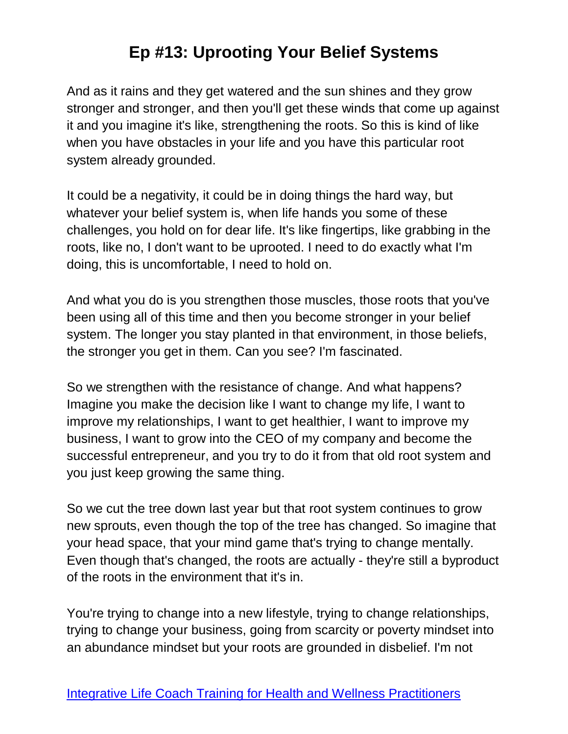And as it rains and they get watered and the sun shines and they grow stronger and stronger, and then you'll get these winds that come up against it and you imagine it's like, strengthening the roots. So this is kind of like when you have obstacles in your life and you have this particular root system already grounded.

It could be a negativity, it could be in doing things the hard way, but whatever your belief system is, when life hands you some of these challenges, you hold on for dear life. It's like fingertips, like grabbing in the roots, like no, I don't want to be uprooted. I need to do exactly what I'm doing, this is uncomfortable, I need to hold on.

And what you do is you strengthen those muscles, those roots that you've been using all of this time and then you become stronger in your belief system. The longer you stay planted in that environment, in those beliefs, the stronger you get in them. Can you see? I'm fascinated.

So we strengthen with the resistance of change. And what happens? Imagine you make the decision like I want to change my life, I want to improve my relationships, I want to get healthier, I want to improve my business, I want to grow into the CEO of my company and become the successful entrepreneur, and you try to do it from that old root system and you just keep growing the same thing.

So we cut the tree down last year but that root system continues to grow new sprouts, even though the top of the tree has changed. So imagine that your head space, that your mind game that's trying to change mentally. Even though that's changed, the roots are actually - they're still a byproduct of the roots in the environment that it's in.

You're trying to change into a new lifestyle, trying to change relationships, trying to change your business, going from scarcity or poverty mindset into an abundance mindset but your roots are grounded in disbelief. I'm not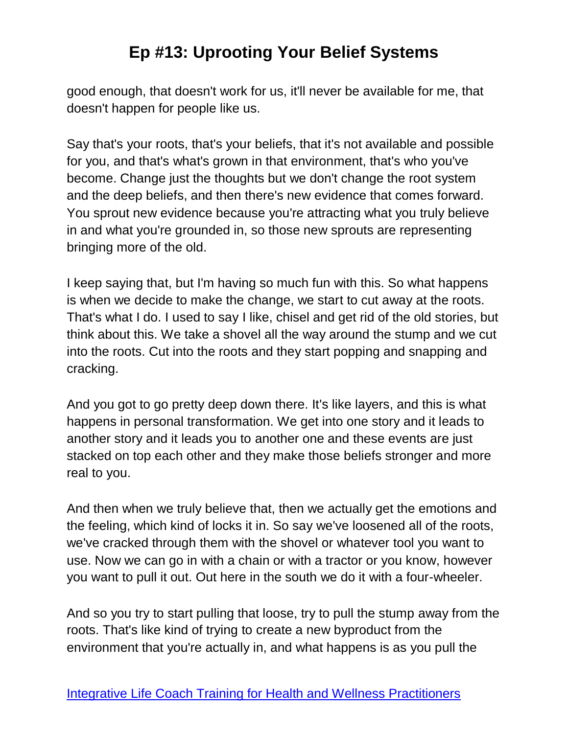good enough, that doesn't work for us, it'll never be available for me, that doesn't happen for people like us.

Say that's your roots, that's your beliefs, that it's not available and possible for you, and that's what's grown in that environment, that's who you've become. Change just the thoughts but we don't change the root system and the deep beliefs, and then there's new evidence that comes forward. You sprout new evidence because you're attracting what you truly believe in and what you're grounded in, so those new sprouts are representing bringing more of the old.

I keep saying that, but I'm having so much fun with this. So what happens is when we decide to make the change, we start to cut away at the roots. That's what I do. I used to say I like, chisel and get rid of the old stories, but think about this. We take a shovel all the way around the stump and we cut into the roots. Cut into the roots and they start popping and snapping and cracking.

And you got to go pretty deep down there. It's like layers, and this is what happens in personal transformation. We get into one story and it leads to another story and it leads you to another one and these events are just stacked on top each other and they make those beliefs stronger and more real to you.

And then when we truly believe that, then we actually get the emotions and the feeling, which kind of locks it in. So say we've loosened all of the roots, we've cracked through them with the shovel or whatever tool you want to use. Now we can go in with a chain or with a tractor or you know, however you want to pull it out. Out here in the south we do it with a four-wheeler.

And so you try to start pulling that loose, try to pull the stump away from the roots. That's like kind of trying to create a new byproduct from the environment that you're actually in, and what happens is as you pull the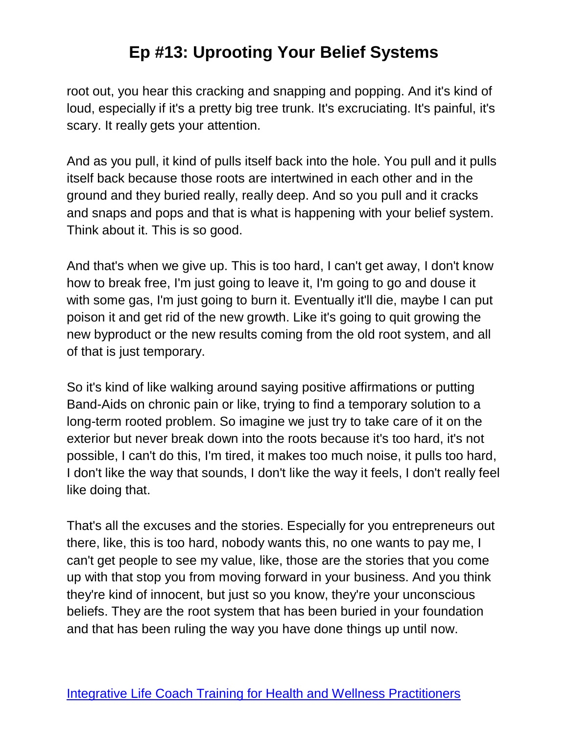root out, you hear this cracking and snapping and popping. And it's kind of loud, especially if it's a pretty big tree trunk. It's excruciating. It's painful, it's scary. It really gets your attention.

And as you pull, it kind of pulls itself back into the hole. You pull and it pulls itself back because those roots are intertwined in each other and in the ground and they buried really, really deep. And so you pull and it cracks and snaps and pops and that is what is happening with your belief system. Think about it. This is so good.

And that's when we give up. This is too hard, I can't get away, I don't know how to break free, I'm just going to leave it, I'm going to go and douse it with some gas, I'm just going to burn it. Eventually it'll die, maybe I can put poison it and get rid of the new growth. Like it's going to quit growing the new byproduct or the new results coming from the old root system, and all of that is just temporary.

So it's kind of like walking around saying positive affirmations or putting Band-Aids on chronic pain or like, trying to find a temporary solution to a long-term rooted problem. So imagine we just try to take care of it on the exterior but never break down into the roots because it's too hard, it's not possible, I can't do this, I'm tired, it makes too much noise, it pulls too hard, I don't like the way that sounds, I don't like the way it feels, I don't really feel like doing that.

That's all the excuses and the stories. Especially for you entrepreneurs out there, like, this is too hard, nobody wants this, no one wants to pay me, I can't get people to see my value, like, those are the stories that you come up with that stop you from moving forward in your business. And you think they're kind of innocent, but just so you know, they're your unconscious beliefs. They are the root system that has been buried in your foundation and that has been ruling the way you have done things up until now.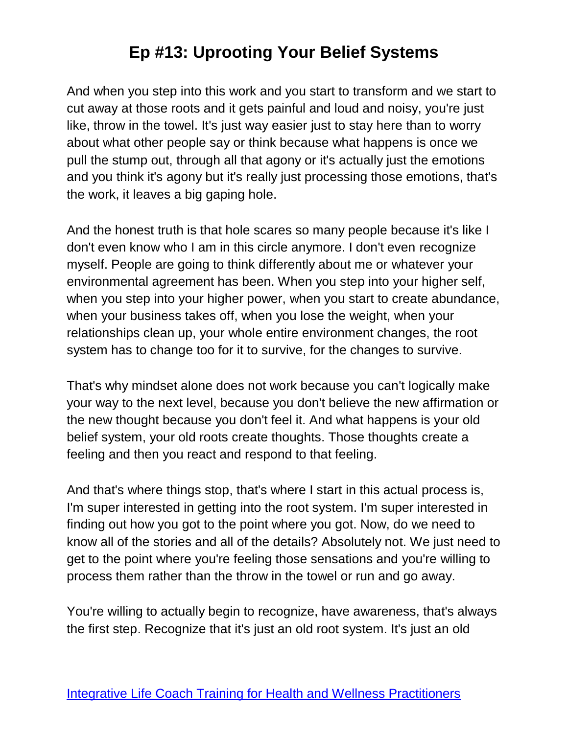And when you step into this work and you start to transform and we start to cut away at those roots and it gets painful and loud and noisy, you're just like, throw in the towel. It's just way easier just to stay here than to worry about what other people say or think because what happens is once we pull the stump out, through all that agony or it's actually just the emotions and you think it's agony but it's really just processing those emotions, that's the work, it leaves a big gaping hole.

And the honest truth is that hole scares so many people because it's like I don't even know who I am in this circle anymore. I don't even recognize myself. People are going to think differently about me or whatever your environmental agreement has been. When you step into your higher self, when you step into your higher power, when you start to create abundance, when your business takes off, when you lose the weight, when your relationships clean up, your whole entire environment changes, the root system has to change too for it to survive, for the changes to survive.

That's why mindset alone does not work because you can't logically make your way to the next level, because you don't believe the new affirmation or the new thought because you don't feel it. And what happens is your old belief system, your old roots create thoughts. Those thoughts create a feeling and then you react and respond to that feeling.

And that's where things stop, that's where I start in this actual process is, I'm super interested in getting into the root system. I'm super interested in finding out how you got to the point where you got. Now, do we need to know all of the stories and all of the details? Absolutely not. We just need to get to the point where you're feeling those sensations and you're willing to process them rather than the throw in the towel or run and go away.

You're willing to actually begin to recognize, have awareness, that's always the first step. Recognize that it's just an old root system. It's just an old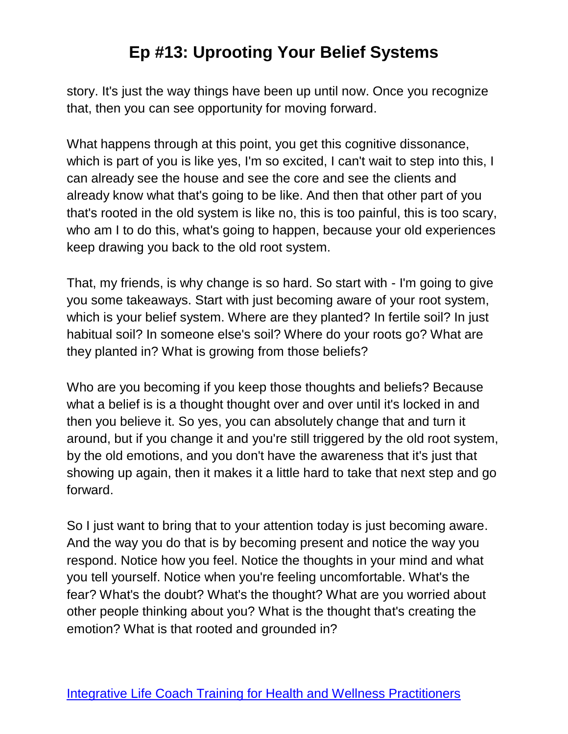story. It's just the way things have been up until now. Once you recognize that, then you can see opportunity for moving forward.

What happens through at this point, you get this cognitive dissonance, which is part of you is like yes, I'm so excited, I can't wait to step into this, I can already see the house and see the core and see the clients and already know what that's going to be like. And then that other part of you that's rooted in the old system is like no, this is too painful, this is too scary, who am I to do this, what's going to happen, because your old experiences keep drawing you back to the old root system.

That, my friends, is why change is so hard. So start with - I'm going to give you some takeaways. Start with just becoming aware of your root system, which is your belief system. Where are they planted? In fertile soil? In just habitual soil? In someone else's soil? Where do your roots go? What are they planted in? What is growing from those beliefs?

Who are you becoming if you keep those thoughts and beliefs? Because what a belief is is a thought thought over and over until it's locked in and then you believe it. So yes, you can absolutely change that and turn it around, but if you change it and you're still triggered by the old root system, by the old emotions, and you don't have the awareness that it's just that showing up again, then it makes it a little hard to take that next step and go forward.

So I just want to bring that to your attention today is just becoming aware. And the way you do that is by becoming present and notice the way you respond. Notice how you feel. Notice the thoughts in your mind and what you tell yourself. Notice when you're feeling uncomfortable. What's the fear? What's the doubt? What's the thought? What are you worried about other people thinking about you? What is the thought that's creating the emotion? What is that rooted and grounded in?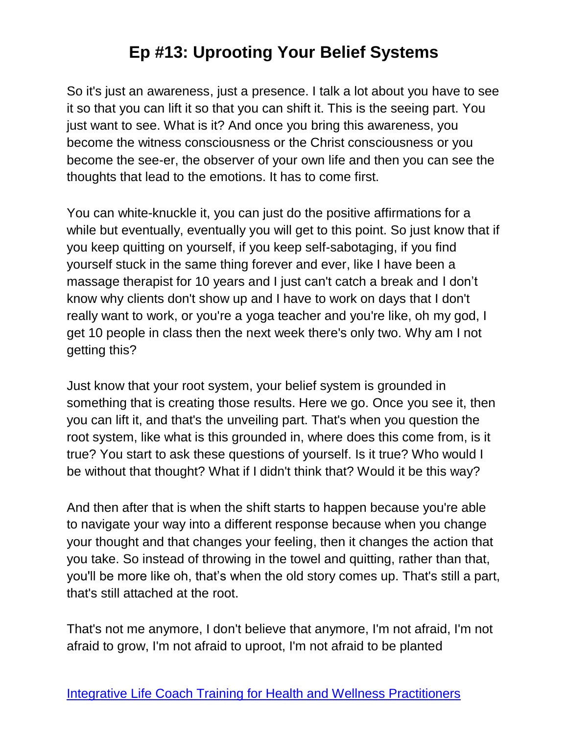So it's just an awareness, just a presence. I talk a lot about you have to see it so that you can lift it so that you can shift it. This is the seeing part. You just want to see. What is it? And once you bring this awareness, you become the witness consciousness or the Christ consciousness or you become the see-er, the observer of your own life and then you can see the thoughts that lead to the emotions. It has to come first.

You can white-knuckle it, you can just do the positive affirmations for a while but eventually, eventually you will get to this point. So just know that if you keep quitting on yourself, if you keep self-sabotaging, if you find yourself stuck in the same thing forever and ever, like I have been a massage therapist for 10 years and I just can't catch a break and I don't know why clients don't show up and I have to work on days that I don't really want to work, or you're a yoga teacher and you're like, oh my god, I get 10 people in class then the next week there's only two. Why am I not getting this?

Just know that your root system, your belief system is grounded in something that is creating those results. Here we go. Once you see it, then you can lift it, and that's the unveiling part. That's when you question the root system, like what is this grounded in, where does this come from, is it true? You start to ask these questions of yourself. Is it true? Who would I be without that thought? What if I didn't think that? Would it be this way?

And then after that is when the shift starts to happen because you're able to navigate your way into a different response because when you change your thought and that changes your feeling, then it changes the action that you take. So instead of throwing in the towel and quitting, rather than that, you'll be more like oh, that's when the old story comes up. That's still a part, that's still attached at the root.

That's not me anymore, I don't believe that anymore, I'm not afraid, I'm not afraid to grow, I'm not afraid to uproot, I'm not afraid to be planted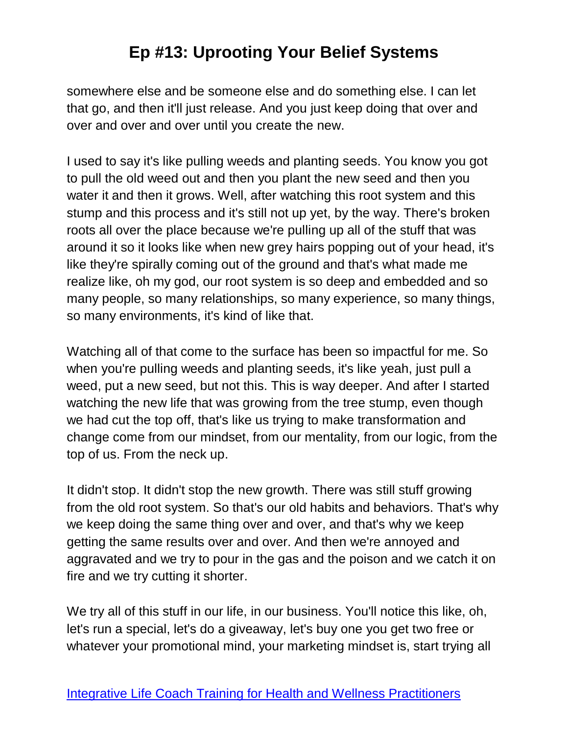somewhere else and be someone else and do something else. I can let that go, and then it'll just release. And you just keep doing that over and over and over and over until you create the new.

I used to say it's like pulling weeds and planting seeds. You know you got to pull the old weed out and then you plant the new seed and then you water it and then it grows. Well, after watching this root system and this stump and this process and it's still not up yet, by the way. There's broken roots all over the place because we're pulling up all of the stuff that was around it so it looks like when new grey hairs popping out of your head, it's like they're spirally coming out of the ground and that's what made me realize like, oh my god, our root system is so deep and embedded and so many people, so many relationships, so many experience, so many things, so many environments, it's kind of like that.

Watching all of that come to the surface has been so impactful for me. So when you're pulling weeds and planting seeds, it's like yeah, just pull a weed, put a new seed, but not this. This is way deeper. And after I started watching the new life that was growing from the tree stump, even though we had cut the top off, that's like us trying to make transformation and change come from our mindset, from our mentality, from our logic, from the top of us. From the neck up.

It didn't stop. It didn't stop the new growth. There was still stuff growing from the old root system. So that's our old habits and behaviors. That's why we keep doing the same thing over and over, and that's why we keep getting the same results over and over. And then we're annoyed and aggravated and we try to pour in the gas and the poison and we catch it on fire and we try cutting it shorter.

We try all of this stuff in our life, in our business. You'll notice this like, oh, let's run a special, let's do a giveaway, let's buy one you get two free or whatever your promotional mind, your marketing mindset is, start trying all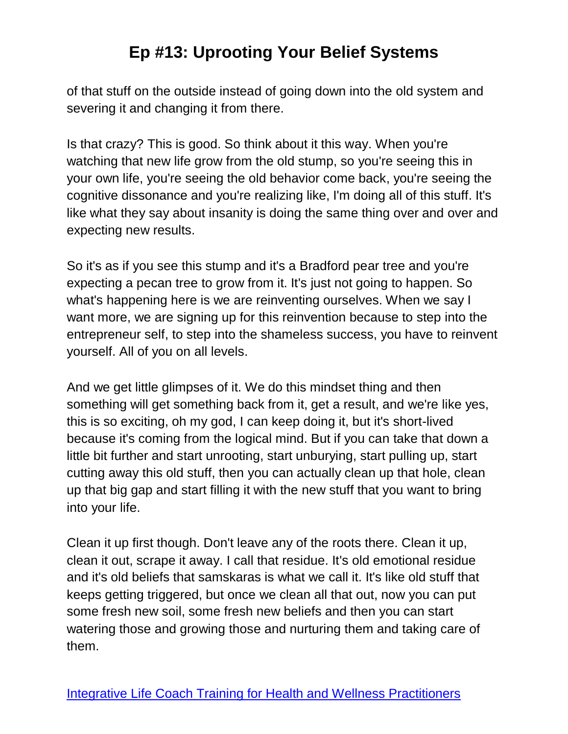of that stuff on the outside instead of going down into the old system and severing it and changing it from there.

Is that crazy? This is good. So think about it this way. When you're watching that new life grow from the old stump, so you're seeing this in your own life, you're seeing the old behavior come back, you're seeing the cognitive dissonance and you're realizing like, I'm doing all of this stuff. It's like what they say about insanity is doing the same thing over and over and expecting new results.

So it's as if you see this stump and it's a Bradford pear tree and you're expecting a pecan tree to grow from it. It's just not going to happen. So what's happening here is we are reinventing ourselves. When we say I want more, we are signing up for this reinvention because to step into the entrepreneur self, to step into the shameless success, you have to reinvent yourself. All of you on all levels.

And we get little glimpses of it. We do this mindset thing and then something will get something back from it, get a result, and we're like yes, this is so exciting, oh my god, I can keep doing it, but it's short-lived because it's coming from the logical mind. But if you can take that down a little bit further and start unrooting, start unburying, start pulling up, start cutting away this old stuff, then you can actually clean up that hole, clean up that big gap and start filling it with the new stuff that you want to bring into your life.

Clean it up first though. Don't leave any of the roots there. Clean it up, clean it out, scrape it away. I call that residue. It's old emotional residue and it's old beliefs that samskaras is what we call it. It's like old stuff that keeps getting triggered, but once we clean all that out, now you can put some fresh new soil, some fresh new beliefs and then you can start watering those and growing those and nurturing them and taking care of them.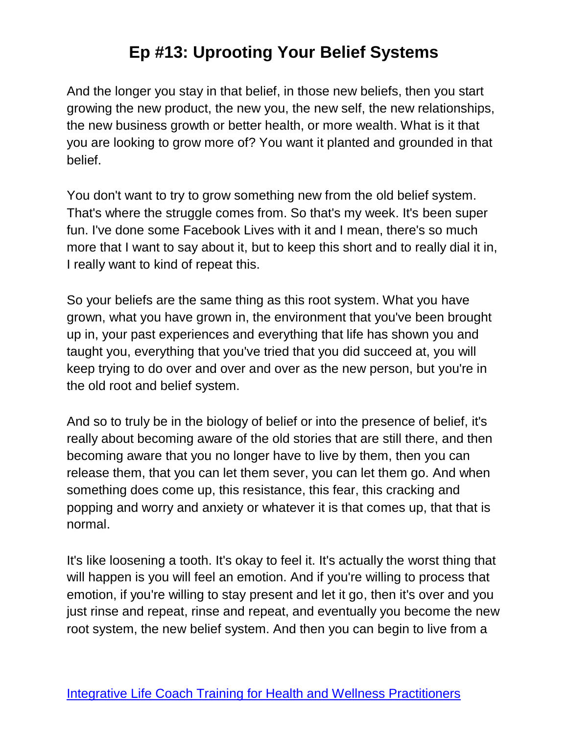And the longer you stay in that belief, in those new beliefs, then you start growing the new product, the new you, the new self, the new relationships, the new business growth or better health, or more wealth. What is it that you are looking to grow more of? You want it planted and grounded in that belief.

You don't want to try to grow something new from the old belief system. That's where the struggle comes from. So that's my week. It's been super fun. I've done some Facebook Lives with it and I mean, there's so much more that I want to say about it, but to keep this short and to really dial it in, I really want to kind of repeat this.

So your beliefs are the same thing as this root system. What you have grown, what you have grown in, the environment that you've been brought up in, your past experiences and everything that life has shown you and taught you, everything that you've tried that you did succeed at, you will keep trying to do over and over and over as the new person, but you're in the old root and belief system.

And so to truly be in the biology of belief or into the presence of belief, it's really about becoming aware of the old stories that are still there, and then becoming aware that you no longer have to live by them, then you can release them, that you can let them sever, you can let them go. And when something does come up, this resistance, this fear, this cracking and popping and worry and anxiety or whatever it is that comes up, that that is normal.

It's like loosening a tooth. It's okay to feel it. It's actually the worst thing that will happen is you will feel an emotion. And if you're willing to process that emotion, if you're willing to stay present and let it go, then it's over and you just rinse and repeat, rinse and repeat, and eventually you become the new root system, the new belief system. And then you can begin to live from a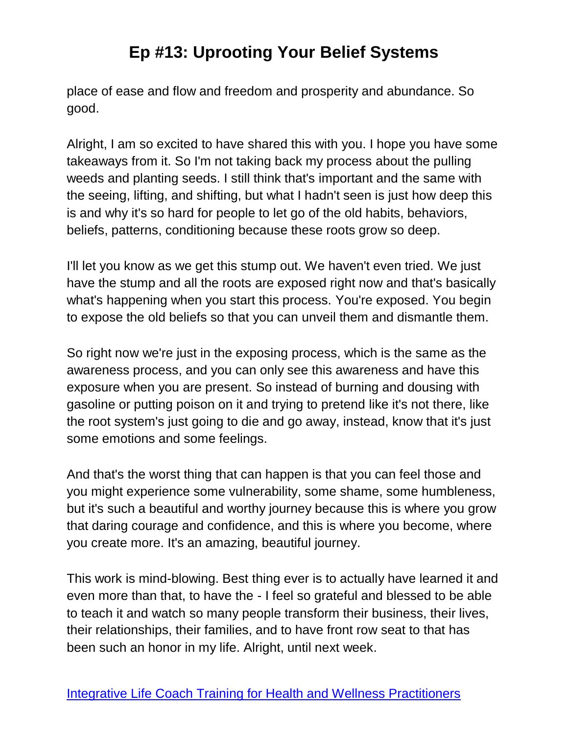place of ease and flow and freedom and prosperity and abundance. So good.

Alright, I am so excited to have shared this with you. I hope you have some takeaways from it. So I'm not taking back my process about the pulling weeds and planting seeds. I still think that's important and the same with the seeing, lifting, and shifting, but what I hadn't seen is just how deep this is and why it's so hard for people to let go of the old habits, behaviors, beliefs, patterns, conditioning because these roots grow so deep.

I'll let you know as we get this stump out. We haven't even tried. We just have the stump and all the roots are exposed right now and that's basically what's happening when you start this process. You're exposed. You begin to expose the old beliefs so that you can unveil them and dismantle them.

So right now we're just in the exposing process, which is the same as the awareness process, and you can only see this awareness and have this exposure when you are present. So instead of burning and dousing with gasoline or putting poison on it and trying to pretend like it's not there, like the root system's just going to die and go away, instead, know that it's just some emotions and some feelings.

And that's the worst thing that can happen is that you can feel those and you might experience some vulnerability, some shame, some humbleness, but it's such a beautiful and worthy journey because this is where you grow that daring courage and confidence, and this is where you become, where you create more. It's an amazing, beautiful journey.

This work is mind-blowing. Best thing ever is to actually have learned it and even more than that, to have the - I feel so grateful and blessed to be able to teach it and watch so many people transform their business, their lives, their relationships, their families, and to have front row seat to that has been such an honor in my life. Alright, until next week.